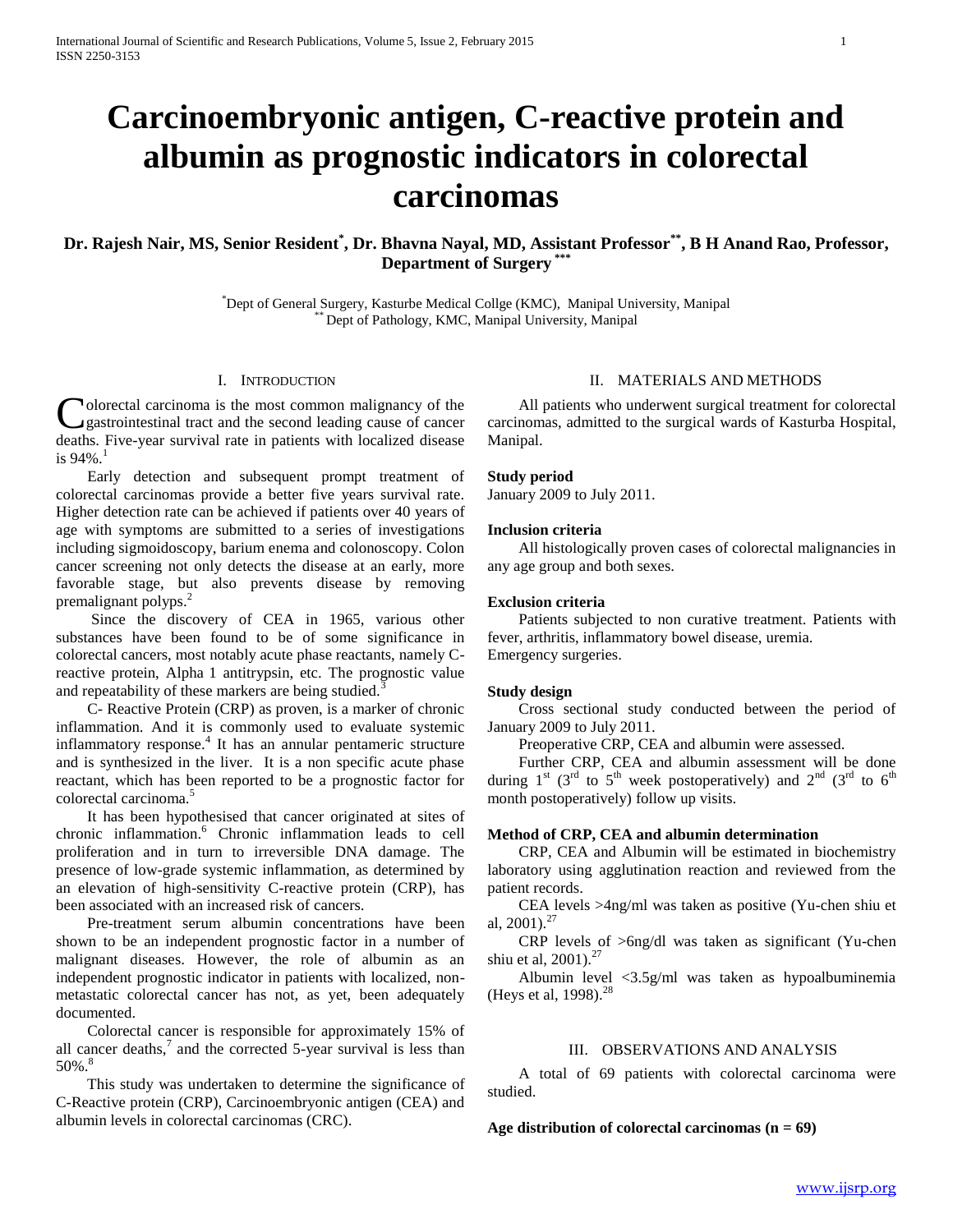# **Carcinoembryonic antigen, C-reactive protein and albumin as prognostic indicators in colorectal carcinomas**

## **Dr. Rajesh Nair, MS, Senior Resident\* , Dr. Bhavna Nayal, MD, Assistant Professor\*\* , B H Anand Rao, Professor, Department of Surgery**  $*$

\*Dept of General Surgery, Kasturbe Medical Collge (KMC), Manipal University, Manipal \*\* Dept of Pathology, KMC, Manipal University, Manipal

#### I. INTRODUCTION

olorectal carcinoma is the most common malignancy of the gastrointestinal tract and the second leading cause of cancer deaths. Five-year survival rate in patients with localized disease is  $94\%$ <sup>1</sup> C

 Early detection and subsequent prompt treatment of colorectal carcinomas provide a better five years survival rate. Higher detection rate can be achieved if patients over 40 years of age with symptoms are submitted to a series of investigations including sigmoidoscopy, barium enema and colonoscopy. Colon cancer screening not only detects the disease at an early, more favorable stage, but also prevents disease by removing premalignant polyps.<sup>2</sup>

 Since the discovery of CEA in 1965, various other substances have been found to be of some significance in colorectal cancers, most notably acute phase reactants, namely Creactive protein, Alpha 1 antitrypsin, etc. The prognostic value and repeatability of these markers are being studied.<sup>3</sup>

 C- Reactive Protein (CRP) as proven, is a marker of chronic inflammation. And it is commonly used to evaluate systemic inflammatory response.<sup>4</sup> It has an annular pentameric structure and is synthesized in the liver. It is a non specific acute phase reactant, which has been reported to be a prognostic factor for colorectal carcinoma.<sup>5</sup>

 It has been hypothesised that cancer originated at sites of chronic inflammation.<sup>6</sup> Chronic inflammation leads to cell proliferation and in turn to irreversible DNA damage. The presence of low-grade systemic inflammation, as determined by an elevation of high-sensitivity C-reactive protein (CRP), has been associated with an increased risk of cancers.

 Pre-treatment serum albumin concentrations have been shown to be an independent prognostic factor in a number of malignant diseases. However, the role of albumin as an independent prognostic indicator in patients with localized, nonmetastatic colorectal cancer has not, as yet, been adequately documented.

 Colorectal cancer is responsible for approximately 15% of all cancer deaths, $\frac{7}{7}$  and the corrected 5-year survival is less than 50%.<sup>8</sup>

 This study was undertaken to determine the significance of C-Reactive protein (CRP), Carcinoembryonic antigen (CEA) and albumin levels in colorectal carcinomas (CRC).

## II. MATERIALS AND METHODS

 All patients who underwent surgical treatment for colorectal carcinomas, admitted to the surgical wards of Kasturba Hospital, Manipal.

## **Study period**

January 2009 to July 2011.

## **Inclusion criteria**

 All histologically proven cases of colorectal malignancies in any age group and both sexes.

## **Exclusion criteria**

 Patients subjected to non curative treatment. Patients with fever, arthritis, inflammatory bowel disease, uremia. Emergency surgeries.

#### **Study design**

 Cross sectional study conducted between the period of January 2009 to July 2011.

Preoperative CRP, CEA and albumin were assessed.

 Further CRP, CEA and albumin assessment will be done during  $1<sup>st</sup>$  (3<sup>rd</sup> to 5<sup>th</sup> week postoperatively) and  $2<sup>nd</sup>$  (3<sup>rd</sup> to 6<sup>th</sup> month postoperatively) follow up visits.

## **Method of CRP, CEA and albumin determination**

 CRP, CEA and Albumin will be estimated in biochemistry laboratory using agglutination reaction and reviewed from the patient records.

 CEA levels >4ng/ml was taken as positive (Yu-chen shiu et al,  $2001$ ).<sup>27</sup>

 CRP levels of >6ng/dl was taken as significant (Yu-chen shiu et al,  $2001$ ).<sup>27</sup>

 Albumin level <3.5g/ml was taken as hypoalbuminemia (Heys et al,  $1998$ ).<sup>28</sup>

## III. OBSERVATIONS AND ANALYSIS

 A total of 69 patients with colorectal carcinoma were studied.

**Age distribution of colorectal carcinomas (n = 69)**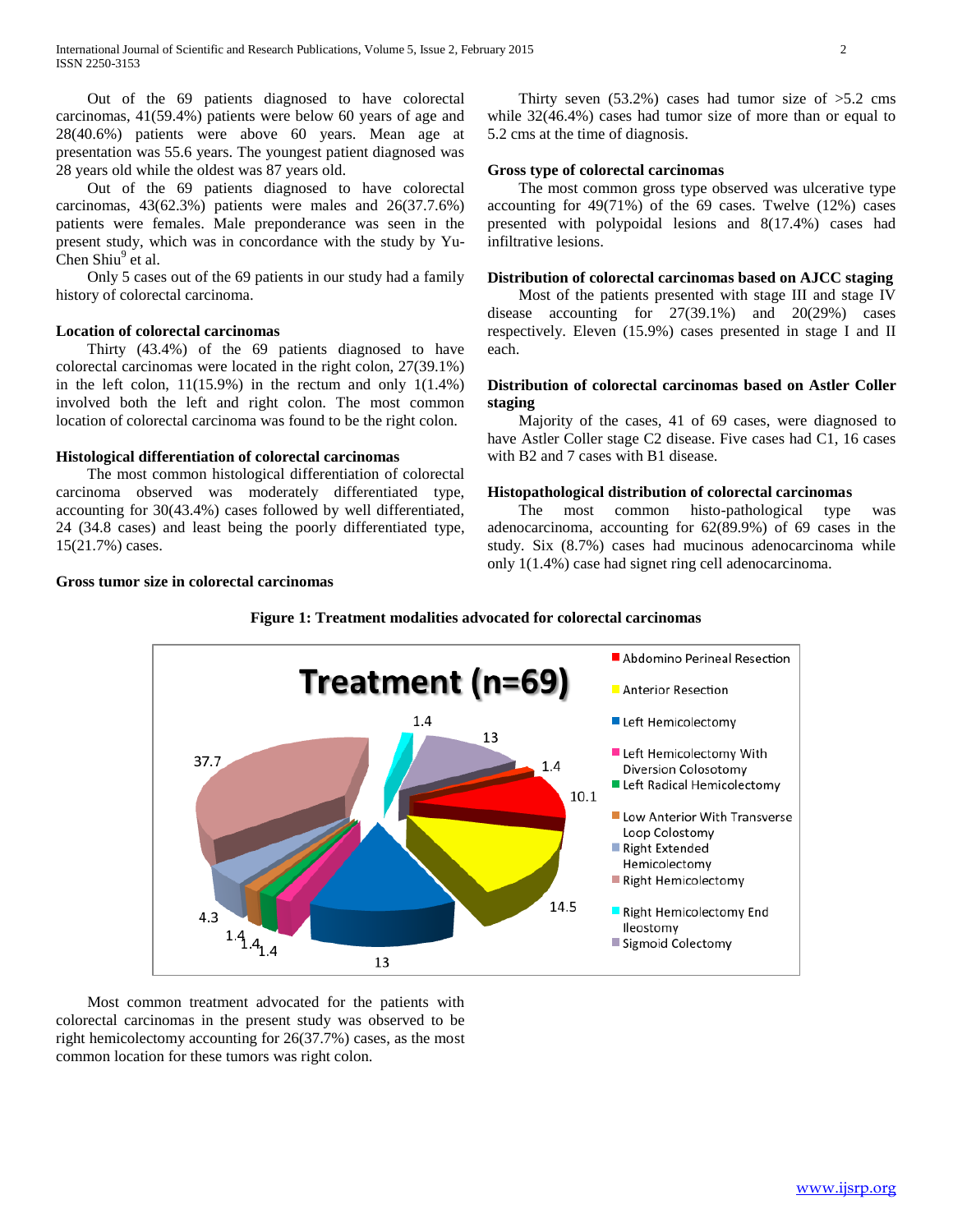Out of the 69 patients diagnosed to have colorectal carcinomas, 41(59.4%) patients were below 60 years of age and 28(40.6%) patients were above 60 years. Mean age at presentation was 55.6 years. The youngest patient diagnosed was 28 years old while the oldest was 87 years old.

 Out of the 69 patients diagnosed to have colorectal carcinomas, 43(62.3%) patients were males and 26(37.7.6%) patients were females. Male preponderance was seen in the present study, which was in concordance with the study by Yu-Chen Shiu<sup>9</sup> et al.

 Only 5 cases out of the 69 patients in our study had a family history of colorectal carcinoma.

#### **Location of colorectal carcinomas**

 Thirty (43.4%) of the 69 patients diagnosed to have colorectal carcinomas were located in the right colon, 27(39.1%) in the left colon,  $11(15.9%)$  in the rectum and only  $1(1.4%)$ involved both the left and right colon. The most common location of colorectal carcinoma was found to be the right colon.

#### **Histological differentiation of colorectal carcinomas**

 The most common histological differentiation of colorectal carcinoma observed was moderately differentiated type, accounting for 30(43.4%) cases followed by well differentiated, 24 (34.8 cases) and least being the poorly differentiated type, 15(21.7%) cases.

## **Gross tumor size in colorectal carcinomas**

Thirty seven  $(53.2\%)$  cases had tumor size of  $>5.2$  cms while 32(46.4%) cases had tumor size of more than or equal to 5.2 cms at the time of diagnosis.

## **Gross type of colorectal carcinomas**

 The most common gross type observed was ulcerative type accounting for 49(71%) of the 69 cases. Twelve (12%) cases presented with polypoidal lesions and 8(17.4%) cases had infiltrative lesions.

#### **Distribution of colorectal carcinomas based on AJCC staging**

 Most of the patients presented with stage III and stage IV disease accounting for 27(39.1%) and 20(29%) cases respectively. Eleven (15.9%) cases presented in stage I and II each.

## **Distribution of colorectal carcinomas based on Astler Coller staging**

 Majority of the cases, 41 of 69 cases, were diagnosed to have Astler Coller stage C2 disease. Five cases had C1, 16 cases with B2 and 7 cases with B1 disease.

#### **Histopathological distribution of colorectal carcinomas**

 The most common histo-pathological type was adenocarcinoma, accounting for 62(89.9%) of 69 cases in the study. Six (8.7%) cases had mucinous adenocarcinoma while only 1(1.4%) case had signet ring cell adenocarcinoma.



 Most common treatment advocated for the patients with colorectal carcinomas in the present study was observed to be right hemicolectomy accounting for 26(37.7%) cases, as the most common location for these tumors was right colon.

## **Figure 1: Treatment modalities advocated for colorectal carcinomas**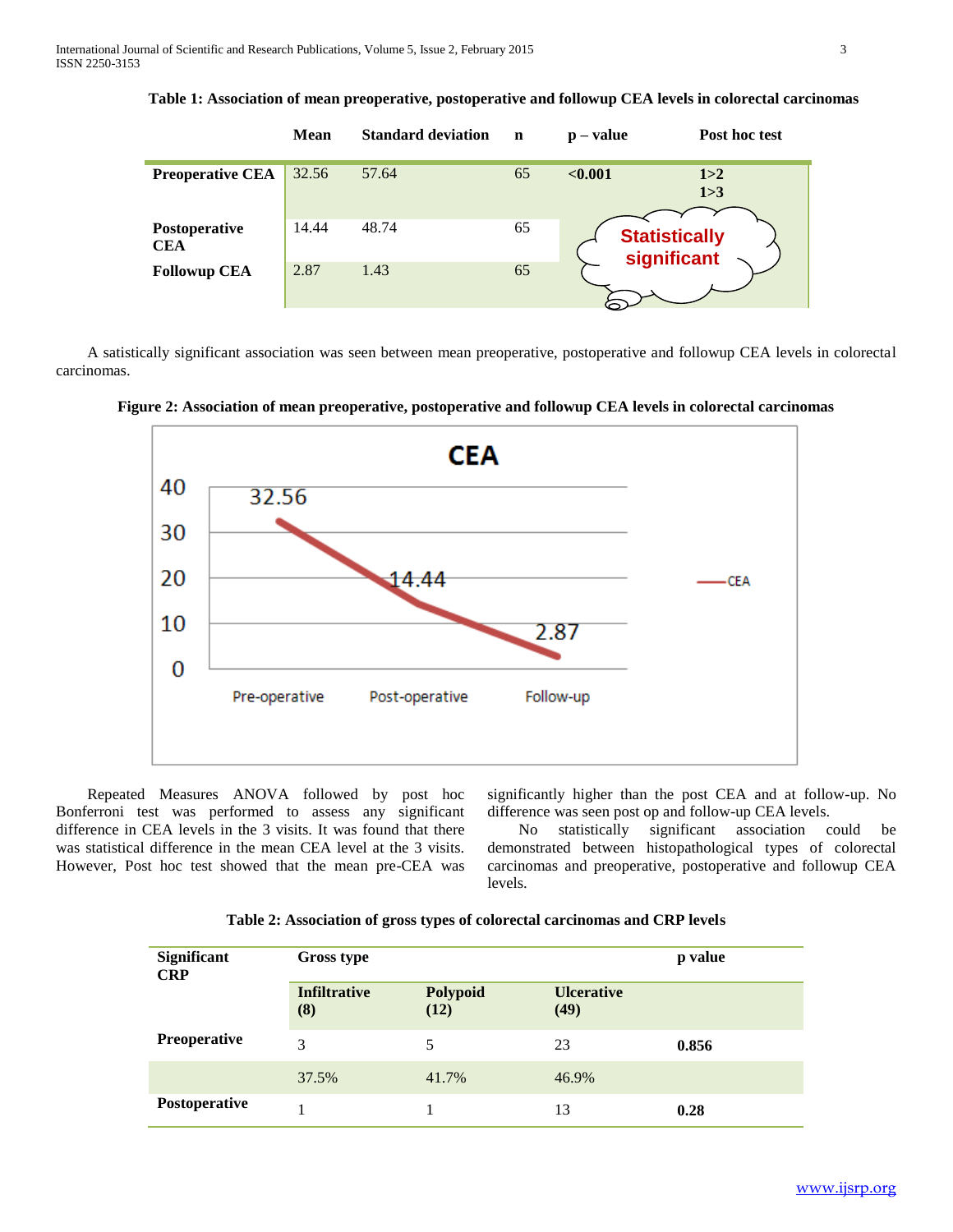|                             | <b>Mean</b> | <b>Standard deviation</b> | n  | $\mathbf{p} - \mathbf{value}$       | Post hoc test  |
|-----------------------------|-------------|---------------------------|----|-------------------------------------|----------------|
| <b>Preoperative CEA</b>     | 32.56       | 57.64                     | 65 | < 0.001                             | 1 > 2<br>1 > 3 |
| Postoperative<br><b>CEA</b> | 14.44       | 48.74                     | 65 | <b>Statistically</b><br>significant |                |
| <b>Followup CEA</b>         | 2.87        | 1.43                      | 65 |                                     |                |

**Table 1: Association of mean preoperative, postoperative and followup CEA levels in colorectal carcinomas**

 A satistically significant association was seen between mean preoperative, postoperative and followup CEA levels in colorectal carcinomas.



**Figure 2: Association of mean preoperative, postoperative and followup CEA levels in colorectal carcinomas**

 Repeated Measures ANOVA followed by post hoc Bonferroni test was performed to assess any significant difference in CEA levels in the 3 visits. It was found that there was statistical difference in the mean CEA level at the 3 visits. However, Post hoc test showed that the mean pre-CEA was significantly higher than the post CEA and at follow-up. No difference was seen post op and follow-up CEA levels.

 No statistically significant association could be demonstrated between histopathological types of colorectal carcinomas and preoperative, postoperative and followup CEA levels.

| <b>Significant</b><br><b>CRP</b> | <b>Gross type</b>          | p value          |                           |       |
|----------------------------------|----------------------------|------------------|---------------------------|-------|
|                                  | <b>Infiltrative</b><br>(8) | Polypoid<br>(12) | <b>Ulcerative</b><br>(49) |       |
| <b>Preoperative</b>              | 3                          | 5                | 23                        | 0.856 |
|                                  | 37.5%                      | 41.7%            | 46.9%                     |       |
| Postoperative                    |                            |                  | 13                        | 0.28  |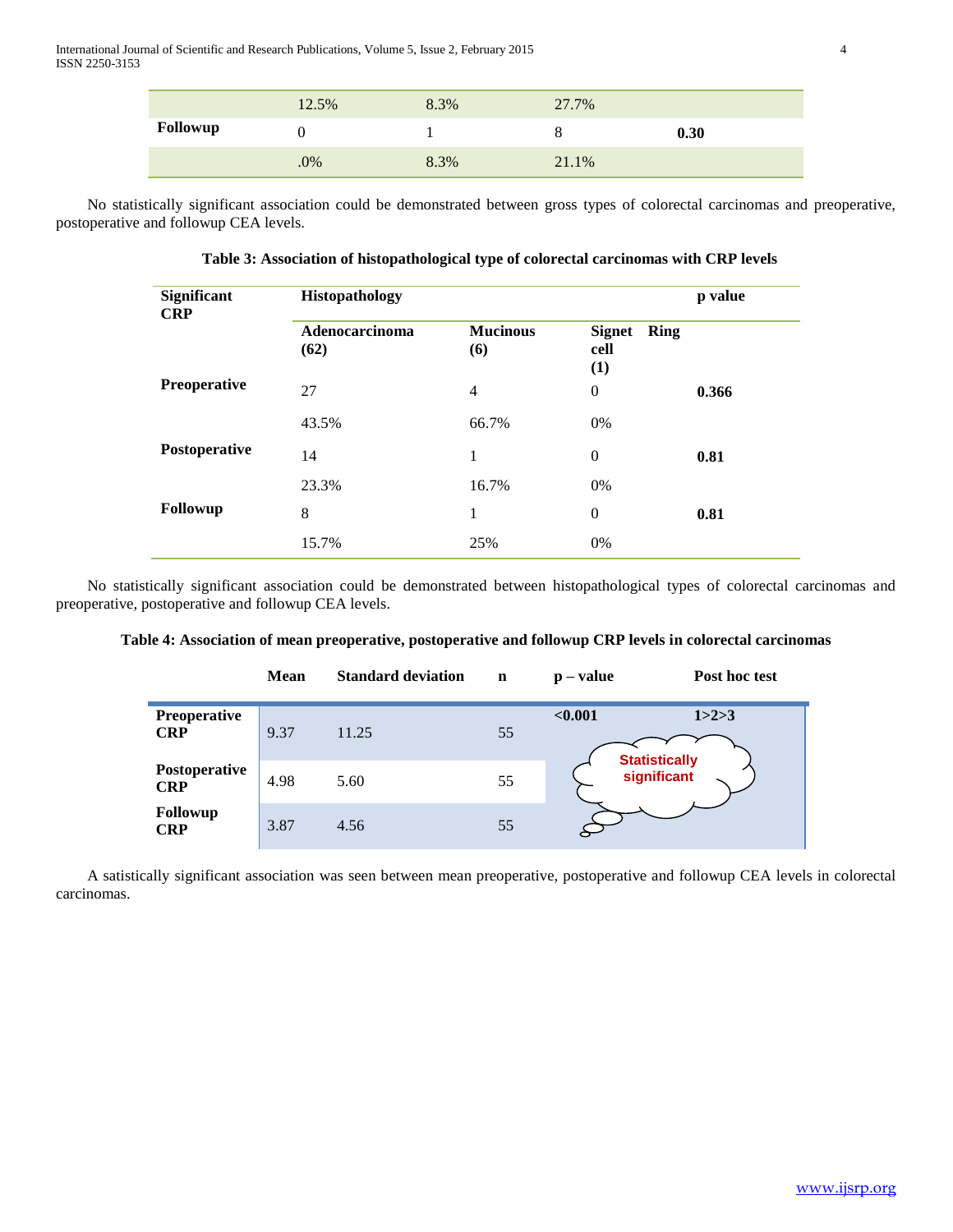|          | 12.5% | 8.3% | 27.7% |      |
|----------|-------|------|-------|------|
| Followup |       |      |       | 0.30 |
|          | .0%   | 8.3% | 21.1% |      |

 No statistically significant association could be demonstrated between gross types of colorectal carcinomas and preoperative, postoperative and followup CEA levels.

| Table 3: Association of histopathological type of colorectal carcinomas with CRP levels |
|-----------------------------------------------------------------------------------------|
|-----------------------------------------------------------------------------------------|

| Significant<br><b>CRP</b> | <b>Histopathology</b>  | p value                |                                      |       |
|---------------------------|------------------------|------------------------|--------------------------------------|-------|
|                           | Adenocarcinoma<br>(62) | <b>Mucinous</b><br>(6) | Ring<br><b>Signet</b><br>cell<br>(1) |       |
| Preoperative              | 27                     | $\overline{4}$         | $\overline{0}$                       | 0.366 |
|                           | 43.5%                  | 66.7%                  | 0%                                   |       |
| Postoperative             | 14                     | 1                      | $\overline{0}$                       | 0.81  |
|                           | 23.3%                  | 16.7%                  | 0%                                   |       |
| <b>Followup</b>           | 8                      | 1                      | $\theta$                             | 0.81  |
|                           | 15.7%                  | 25%                    | 0%                                   |       |

 No statistically significant association could be demonstrated between histopathological types of colorectal carcinomas and preoperative, postoperative and followup CEA levels.

|  |  |  | Table 4: Association of mean preoperative, postoperative and followup CRP levels in colorectal carcinomas |
|--|--|--|-----------------------------------------------------------------------------------------------------------|
|--|--|--|-----------------------------------------------------------------------------------------------------------|

|                             | <b>Mean</b> | <b>Standard deviation</b> | $\mathbf n$ | $\mathbf{p} - \mathbf{value}$ | Post hoc test                |
|-----------------------------|-------------|---------------------------|-------------|-------------------------------|------------------------------|
| Preoperative<br><b>CRP</b>  | 9.37        | 11.25                     | 55          | < 0.001                       | 1 > 2 > 3                    |
| Postoperative<br><b>CRP</b> | 4.98        | 5.60                      | 55          |                               | Statistically<br>significant |
| Followup<br><b>CRP</b>      | 3.87        | 4.56                      | 55          |                               |                              |

 A satistically significant association was seen between mean preoperative, postoperative and followup CEA levels in colorectal carcinomas.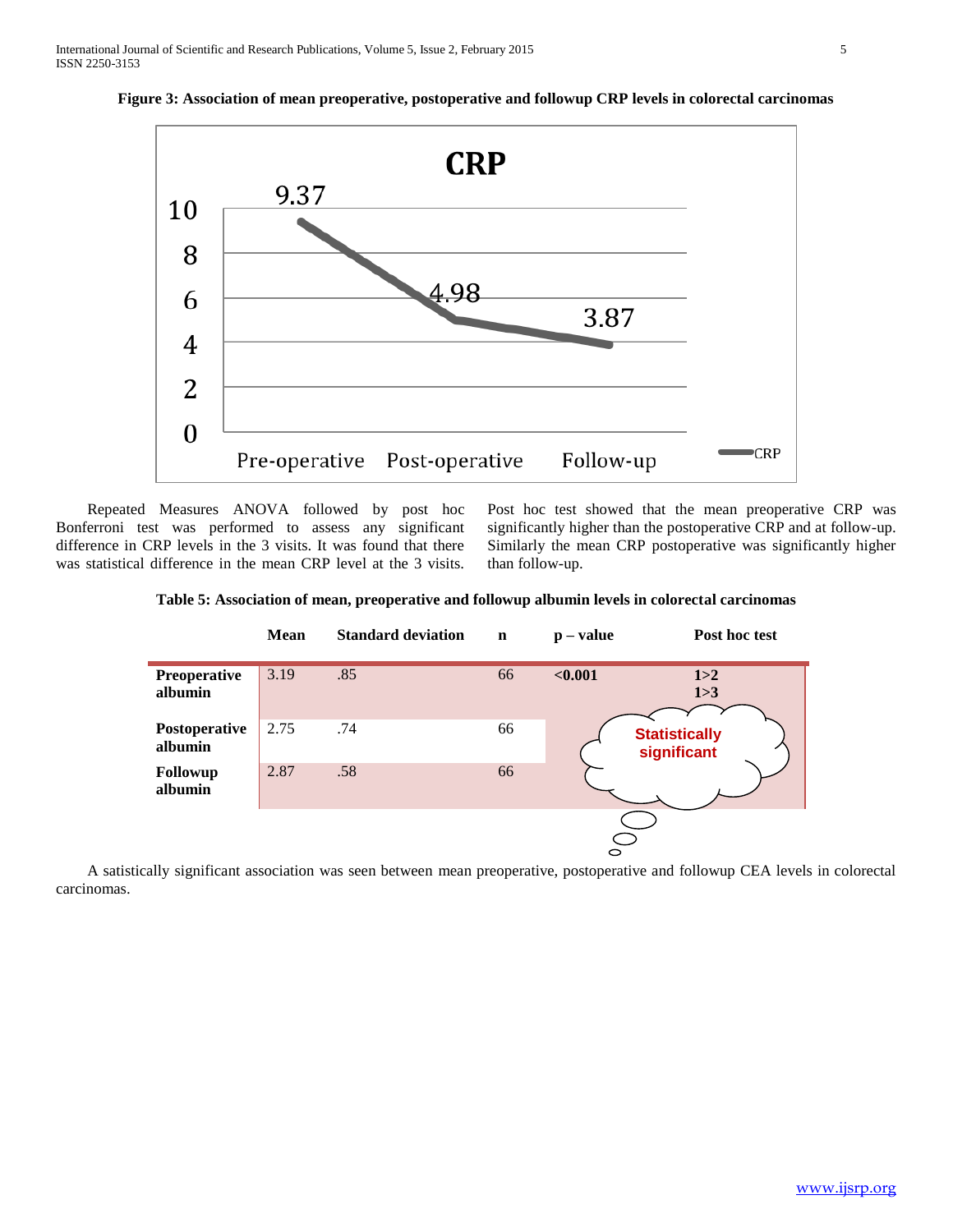

**Figure 3: Association of mean preoperative, postoperative and followup CRP levels in colorectal carcinomas**

 Repeated Measures ANOVA followed by post hoc Bonferroni test was performed to assess any significant difference in CRP levels in the 3 visits. It was found that there was statistical difference in the mean CRP level at the 3 visits. Post hoc test showed that the mean preoperative CRP was significantly higher than the postoperative CRP and at follow-up. Similarly the mean CRP postoperative was significantly higher than follow-up.

**Table 5: Association of mean, preoperative and followup albumin levels in colorectal carcinomas**



 A satistically significant association was seen between mean preoperative, postoperative and followup CEA levels in colorectal carcinomas.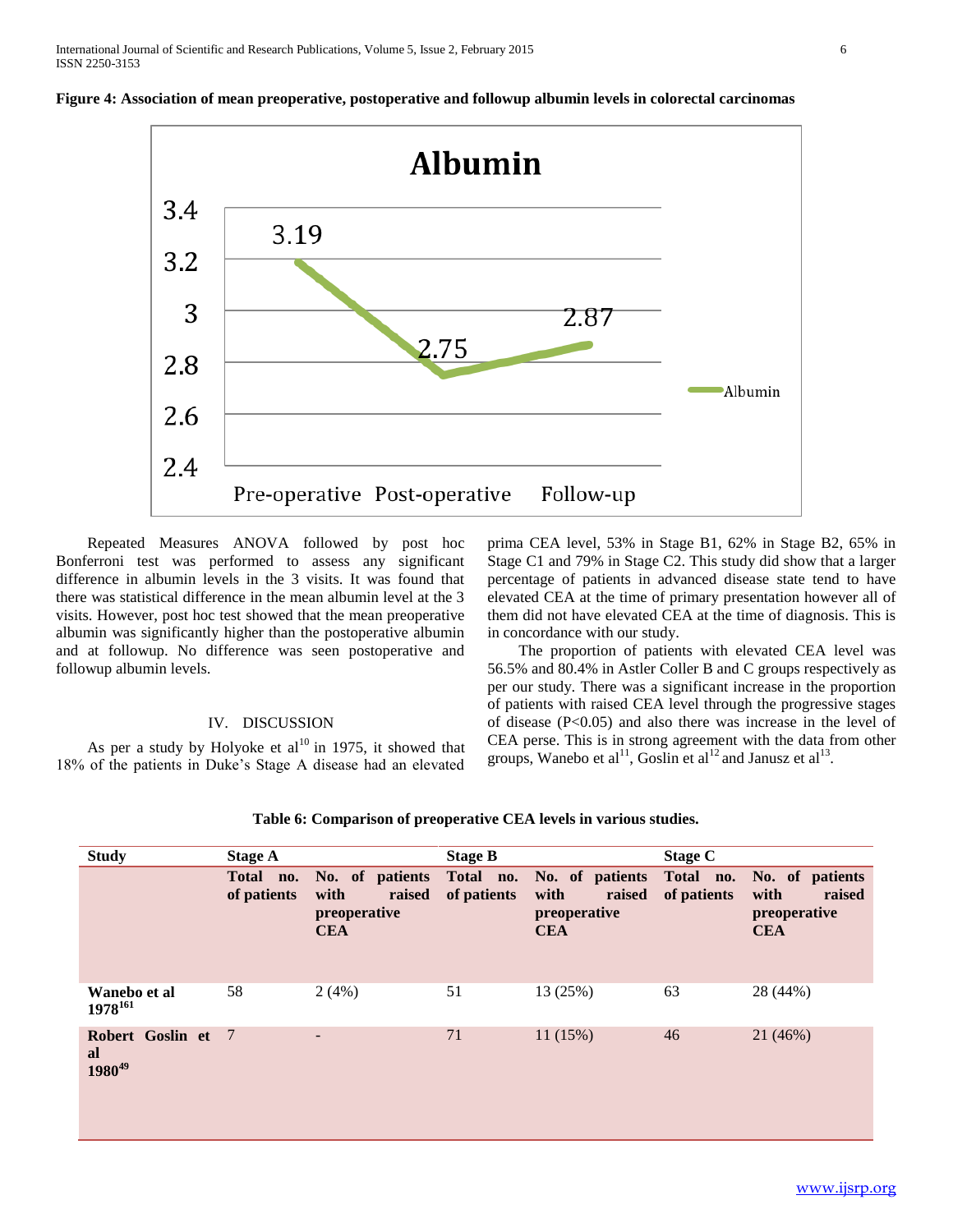

**Figure 4: Association of mean preoperative, postoperative and followup albumin levels in colorectal carcinomas**

 Repeated Measures ANOVA followed by post hoc Bonferroni test was performed to assess any significant difference in albumin levels in the 3 visits. It was found that there was statistical difference in the mean albumin level at the 3 visits. However, post hoc test showed that the mean preoperative albumin was significantly higher than the postoperative albumin and at followup. No difference was seen postoperative and followup albumin levels.

## IV. DISCUSSION

As per a study by Holyoke et  $al^{10}$  in 1975, it showed that 18% of the patients in Duke's Stage A disease had an elevated prima CEA level, 53% in Stage B1, 62% in Stage B2, 65% in Stage C1 and 79% in Stage C2. This study did show that a larger percentage of patients in advanced disease state tend to have elevated CEA at the time of primary presentation however all of them did not have elevated CEA at the time of diagnosis. This is in concordance with our study.

 The proportion of patients with elevated CEA level was 56.5% and 80.4% in Astler Coller B and C groups respectively as per our study. There was a significant increase in the proportion of patients with raised CEA level through the progressive stages of disease (P<0.05) and also there was increase in the level of CEA perse. This is in strong agreement with the data from other groups, Wanebo et al<sup>11</sup>, Goslin et al<sup>12</sup> and Janusz et al<sup>13</sup>.

| <b>Study</b>                                   | <b>Stage A</b> |                                                                                                               | <b>Stage B</b> |                                              | Stage C     |                                                                 |
|------------------------------------------------|----------------|---------------------------------------------------------------------------------------------------------------|----------------|----------------------------------------------|-------------|-----------------------------------------------------------------|
|                                                | of patients    | Total no. No. of patients Total no. No. of patients Total no.<br>raised<br>with<br>preoperative<br><b>CEA</b> | of patients    | raised<br>with<br>preoperative<br><b>CEA</b> | of patients | No. of patients<br>with<br>raised<br>preoperative<br><b>CEA</b> |
| Wanebo et al<br>$1978^{161}$                   | 58             | 2(4%)                                                                                                         | 51             | 13 (25%)                                     | 63          | 28 (44%)                                                        |
| Robert Goslin et 7<br>al<br>1980 <sup>49</sup> |                | -                                                                                                             | 71             | 11(15%)                                      | 46          | 21 (46%)                                                        |

| Table 6: Comparison of preoperative CEA levels in various studies. |  |  |  |  |  |
|--------------------------------------------------------------------|--|--|--|--|--|
|--------------------------------------------------------------------|--|--|--|--|--|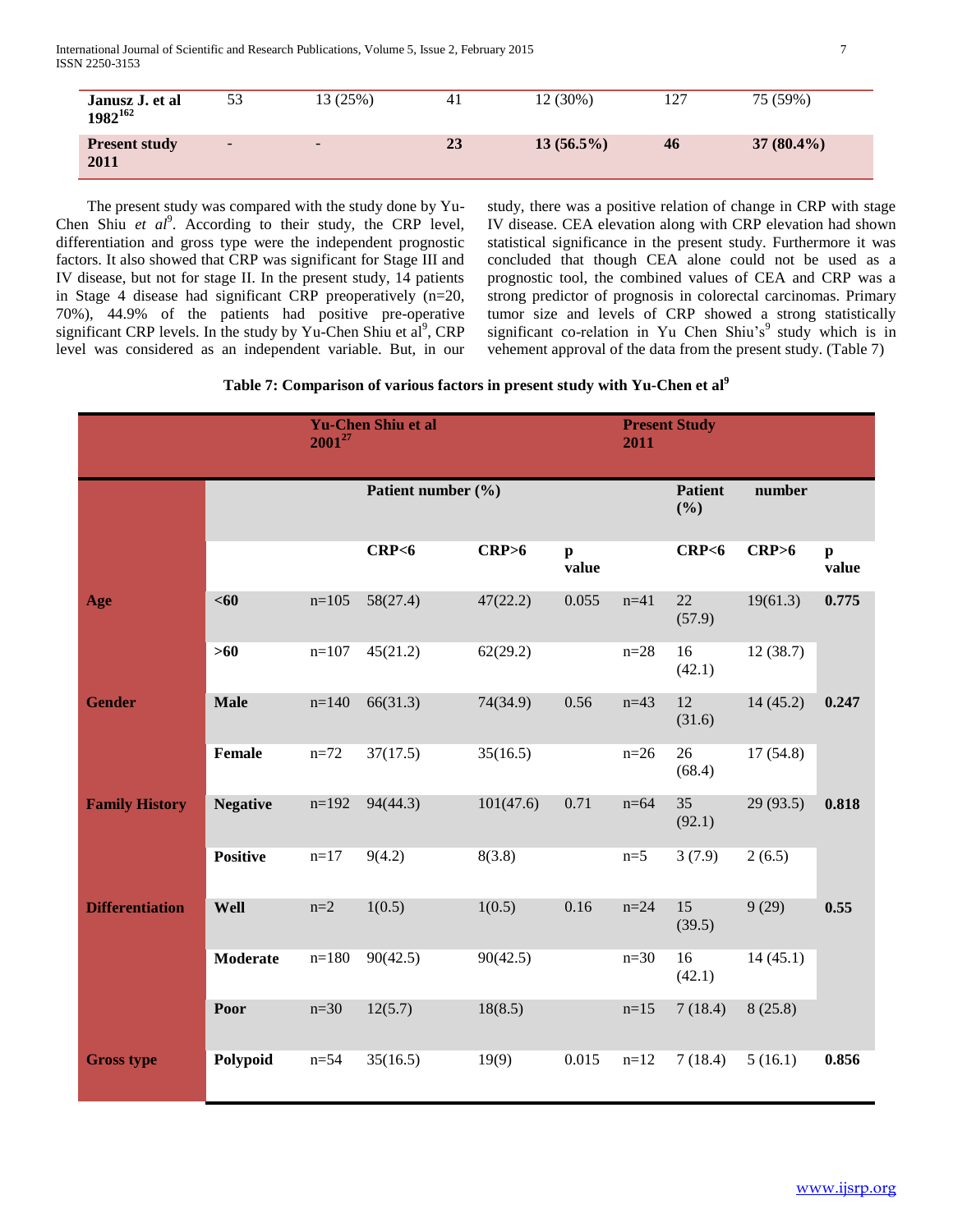International Journal of Scientific and Research Publications, Volume 5, Issue 2, February 2015 7 ISSN 2250-3153

| Janusz J. et al<br>$1982^{162}$ | 53     | 13(25%)                  | 41 | 12 (30%)     | 127 | 75 (59%)     |
|---------------------------------|--------|--------------------------|----|--------------|-----|--------------|
| <b>Present study</b><br>2011    | $\sim$ | $\overline{\phantom{0}}$ | 23 | $13(56.5\%)$ | 46  | $37(80.4\%)$ |

 The present study was compared with the study done by Yu-Chen Shiu *et al<sup>9</sup>*. According to their study, the CRP level, differentiation and gross type were the independent prognostic factors. It also showed that CRP was significant for Stage III and IV disease, but not for stage II. In the present study, 14 patients in Stage 4 disease had significant CRP preoperatively (n=20, 70%), 44.9% of the patients had positive pre-operative significant CRP levels. In the study by Yu-Chen Shiu et  $al^9$ , CRP level was considered as an independent variable. But, in our

study, there was a positive relation of change in CRP with stage IV disease. CEA elevation along with CRP elevation had shown statistical significance in the present study. Furthermore it was concluded that though CEA alone could not be used as a prognostic tool, the combined values of CEA and CRP was a strong predictor of prognosis in colorectal carcinomas. Primary tumor size and levels of CRP showed a strong statistically significant co-relation in Yu Chen Shiu's $9$  study which is in vehement approval of the data from the present study. (Table 7)

| Table 7: Comparison of various factors in present study with Yu-Chen et al <sup>9</sup> |  |  |  |
|-----------------------------------------------------------------------------------------|--|--|--|
|                                                                                         |  |  |  |

|                        |                 | $2001^{27}$ | <b>Yu-Chen Shiu et al</b> |           |                       |          | <b>Present Study</b><br>2011    |           |                       |  |
|------------------------|-----------------|-------------|---------------------------|-----------|-----------------------|----------|---------------------------------|-----------|-----------------------|--|
|                        |                 |             | Patient number (%)        |           |                       |          | <b>Patient</b><br>number<br>(%) |           |                       |  |
|                        |                 |             | CRP <sub>6</sub>          | CRP>6     | $\mathbf{p}$<br>value |          | CRP <sub>6</sub>                | CRP>6     | $\mathbf{p}$<br>value |  |
| Age                    | <60             | $n=105$     | 58(27.4)                  | 47(22.2)  | 0.055                 | $n = 41$ | 22<br>(57.9)                    | 19(61.3)  | 0.775                 |  |
|                        | $>60$           | $n=107$     | 45(21.2)                  | 62(29.2)  |                       | $n=28$   | 16<br>(42.1)                    | 12(38.7)  |                       |  |
| <b>Gender</b>          | <b>Male</b>     | $n=140$     | 66(31.3)                  | 74(34.9)  | 0.56                  | $n=43$   | 12<br>(31.6)                    | 14(45.2)  | 0.247                 |  |
|                        | Female          | $n = 72$    | 37(17.5)                  | 35(16.5)  |                       | $n=26$   | 26<br>(68.4)                    | 17(54.8)  |                       |  |
| <b>Family History</b>  | <b>Negative</b> | $n=192$     | 94(44.3)                  | 101(47.6) | 0.71                  | $n = 64$ | 35<br>(92.1)                    | 29 (93.5) | 0.818                 |  |
|                        | <b>Positive</b> | $n=17$      | 9(4.2)                    | 8(3.8)    |                       | $n=5$    | 3(7.9)                          | 2(6.5)    |                       |  |
| <b>Differentiation</b> | Well            | $n=2$       | 1(0.5)                    | 1(0.5)    | 0.16                  | $n = 24$ | 15<br>(39.5)                    | 9(29)     | 0.55                  |  |
|                        | Moderate        | $n=180$     | 90(42.5)                  | 90(42.5)  |                       | $n=30$   | 16<br>(42.1)                    | 14(45.1)  |                       |  |
|                        | Poor            | $n=30$      | 12(5.7)                   | 18(8.5)   |                       | $n=15$   | 7(18.4)                         | 8(25.8)   |                       |  |
| <b>Gross type</b>      | Polypoid        | $n = 54$    | 35(16.5)                  | 19(9)     | 0.015                 | $n=12$   | 7(18.4)                         | 5(16.1)   | 0.856                 |  |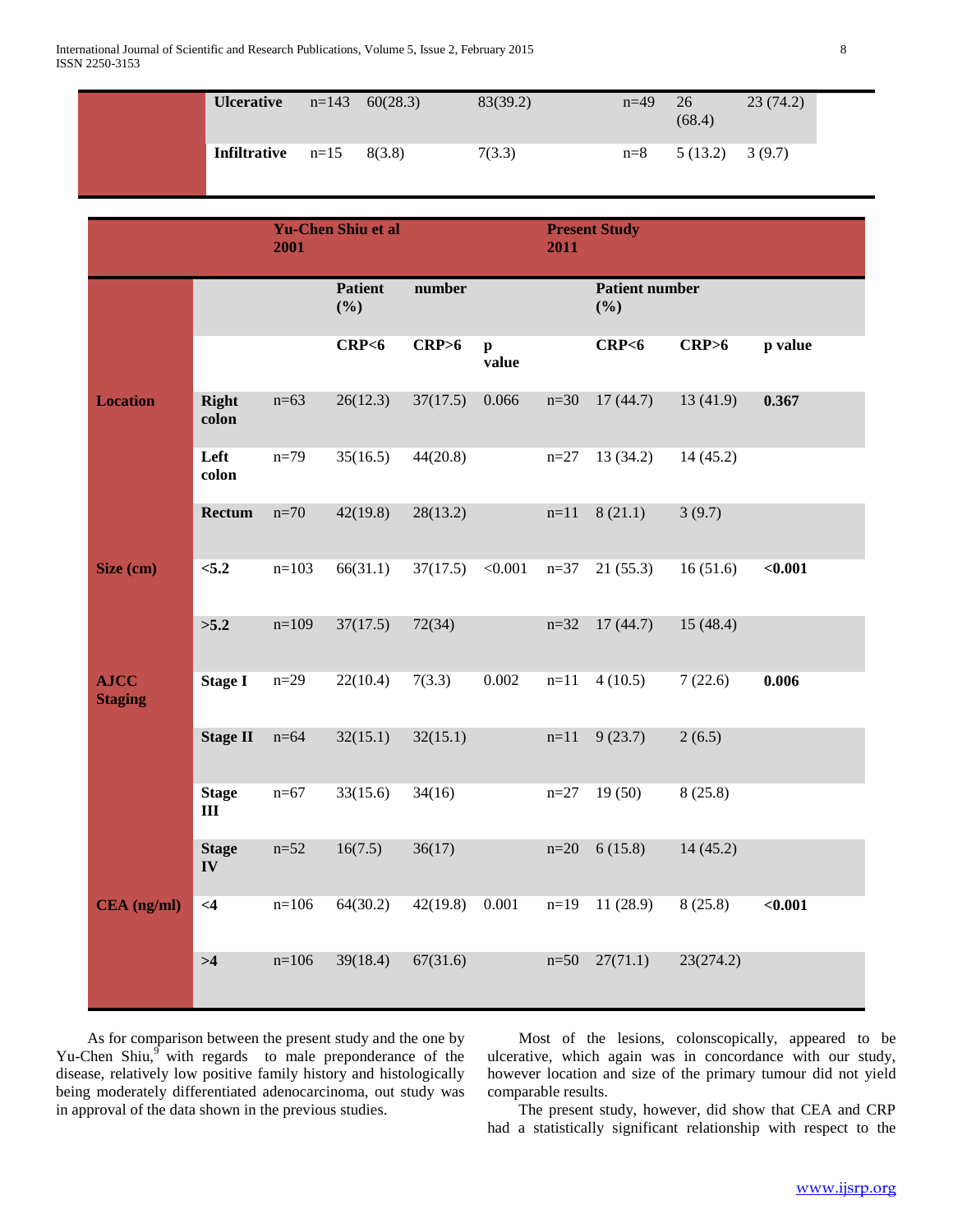| <b>Ulcerative</b>          | $n=143$ | 60(28.3) | 83(39.2) | $n=49$ | 26<br>(68.4) | 23(74.2) |  |
|----------------------------|---------|----------|----------|--------|--------------|----------|--|
| <b>Infiltrative</b> $n=15$ |         | 8(3.8)   | 7(3.3)   | $n=8$  | 5 (13.2)     | 3(9.7)   |  |

|                               |                               | <b>Yu-Chen Shiu et al</b><br>2001 |                       |          |                       | <b>Present Study</b><br>2011 |                              |           |         |
|-------------------------------|-------------------------------|-----------------------------------|-----------------------|----------|-----------------------|------------------------------|------------------------------|-----------|---------|
|                               |                               |                                   | <b>Patient</b><br>(%) | number   |                       |                              | <b>Patient number</b><br>(%) |           |         |
|                               |                               |                                   | CRP <sub>6</sub>      | CRP>6    | $\mathbf{p}$<br>value |                              | CRP <sub>6</sub>             | CRP>6     | p value |
| <b>Location</b>               | Right<br>colon                | $n=63$                            | 26(12.3)              | 37(17.5) | 0.066                 | $n=30$                       | 17(44.7)                     | 13(41.9)  | 0.367   |
|                               | Left<br>colon                 | $n=79$                            | 35(16.5)              | 44(20.8) |                       | $n=27$                       | 13(34.2)                     | 14(45.2)  |         |
|                               | Rectum                        | $n=70$                            | 42(19.8)              | 28(13.2) |                       | $n=11$                       | 8(21.1)                      | 3(9.7)    |         |
| Size (cm)                     | < 5.2                         | $n=103$                           | 66(31.1)              | 37(17.5) | < 0.001               | $n=37$                       | 21(55.3)                     | 16(51.6)  | $0.001$ |
|                               | >5.2                          | $n=109$                           | 37(17.5)              | 72(34)   |                       | $n = 32$                     | 17(44.7)                     | 15(48.4)  |         |
| <b>AJCC</b><br><b>Staging</b> | <b>Stage I</b>                | $n=29$                            | 22(10.4)              | 7(3.3)   | 0.002                 | $n=11$                       | 4(10.5)                      | 7(22.6)   | 0.006   |
|                               | <b>Stage II</b>               | $n=64$                            | 32(15.1)              | 32(15.1) |                       | $n=11$                       | 9(23.7)                      | 2(6.5)    |         |
|                               | <b>Stage</b><br>Ш             | $n=67$                            | 33(15.6)              | 34(16)   |                       | $n=27$                       | 19(50)                       | 8(25.8)   |         |
|                               | <b>Stage</b><br>$\mathbf{IV}$ | $n=52$                            | 16(7.5)               | 36(17)   |                       | $n=20$                       | 6(15.8)                      | 14(45.2)  |         |
| CEA (ng/ml)                   | $\leq 4$                      | $n=106$                           | 64(30.2)              | 42(19.8) | 0.001                 | $n=19$                       | 11(28.9)                     | 8(25.8)   | < 0.001 |
|                               | >4                            | $n=106$                           | 39(18.4)              | 67(31.6) |                       | $n=50$                       | 27(71.1)                     | 23(274.2) |         |

 As for comparison between the present study and the one by Yu-Chen Shiu,<sup>9</sup> with regards to male preponderance of the disease, relatively low positive family history and histologically being moderately differentiated adenocarcinoma, out study was in approval of the data shown in the previous studies.

 Most of the lesions, colonscopically, appeared to be ulcerative, which again was in concordance with our study, however location and size of the primary tumour did not yield comparable results.

 The present study, however, did show that CEA and CRP had a statistically significant relationship with respect to the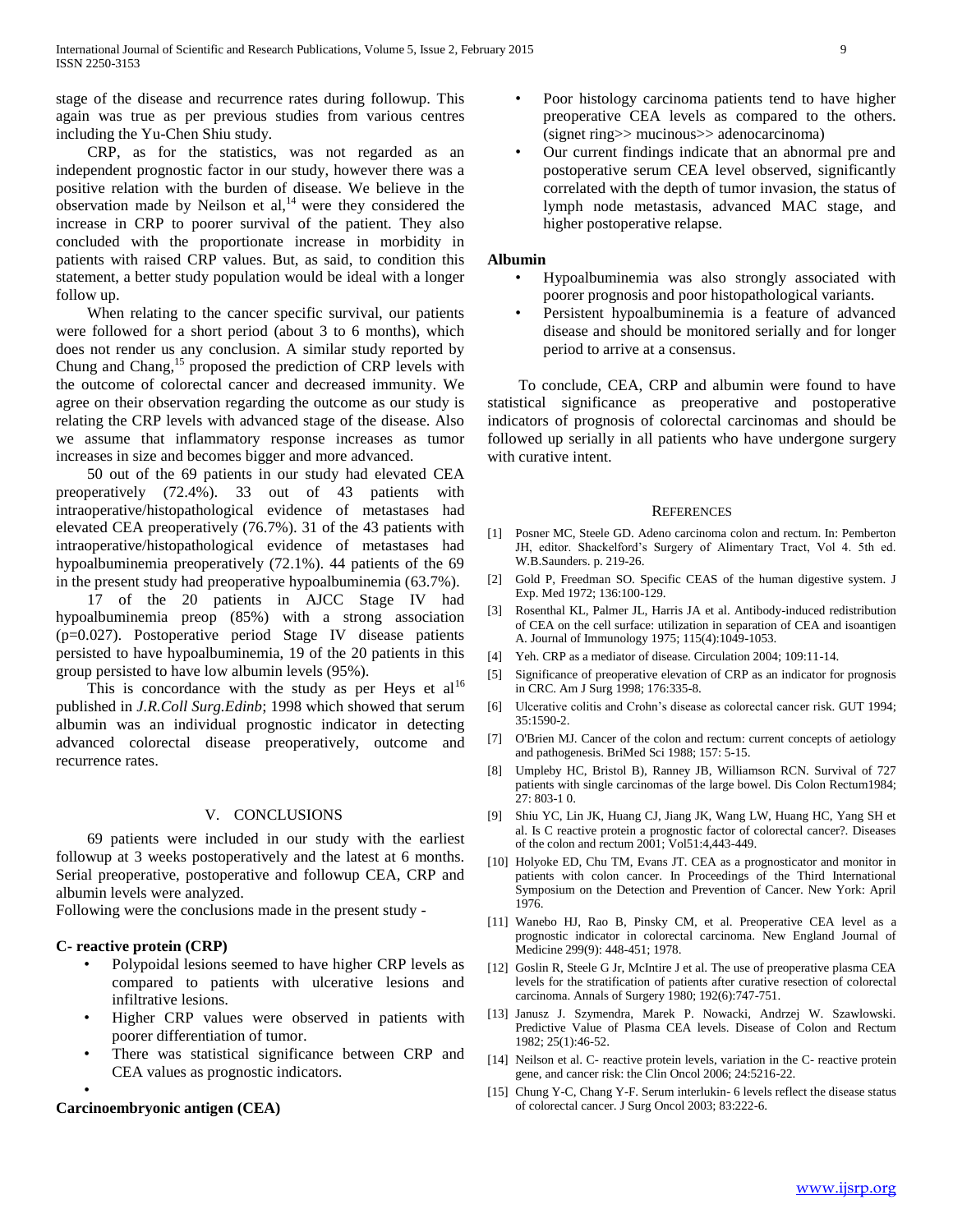stage of the disease and recurrence rates during followup. This again was true as per previous studies from various centres including the Yu-Chen Shiu study.

 CRP, as for the statistics, was not regarded as an independent prognostic factor in our study, however there was a positive relation with the burden of disease. We believe in the observation made by Neilson et al, $^{14}$  were they considered the increase in CRP to poorer survival of the patient. They also concluded with the proportionate increase in morbidity in patients with raised CRP values. But, as said, to condition this statement, a better study population would be ideal with a longer follow up.

 When relating to the cancer specific survival, our patients were followed for a short period (about 3 to 6 months), which does not render us any conclusion. A similar study reported by Chung and Chang,<sup>15</sup> proposed the prediction of CRP levels with the outcome of colorectal cancer and decreased immunity. We agree on their observation regarding the outcome as our study is relating the CRP levels with advanced stage of the disease. Also we assume that inflammatory response increases as tumor increases in size and becomes bigger and more advanced.

 50 out of the 69 patients in our study had elevated CEA preoperatively (72.4%). 33 out of 43 patients with intraoperative/histopathological evidence of metastases had elevated CEA preoperatively (76.7%). 31 of the 43 patients with intraoperative/histopathological evidence of metastases had hypoalbuminemia preoperatively (72.1%). 44 patients of the 69 in the present study had preoperative hypoalbuminemia (63.7%).

 17 of the 20 patients in AJCC Stage IV had hypoalbuminemia preop (85%) with a strong association (p=0.027). Postoperative period Stage IV disease patients persisted to have hypoalbuminemia, 19 of the 20 patients in this group persisted to have low albumin levels (95%).

This is concordance with the study as per Heys et  $al<sup>16</sup>$ published in *J.R.Coll Surg.Edinb*; 1998 which showed that serum albumin was an individual prognostic indicator in detecting advanced colorectal disease preoperatively, outcome and recurrence rates.

## V. CONCLUSIONS

 69 patients were included in our study with the earliest followup at 3 weeks postoperatively and the latest at 6 months. Serial preoperative, postoperative and followup CEA, CRP and albumin levels were analyzed.

Following were the conclusions made in the present study -

## **C- reactive protein (CRP)**

•

- Polypoidal lesions seemed to have higher CRP levels as compared to patients with ulcerative lesions and infiltrative lesions.
- Higher CRP values were observed in patients with poorer differentiation of tumor.
- There was statistical significance between CRP and CEA values as prognostic indicators.

#### **Carcinoembryonic antigen (CEA)**

- Poor histology carcinoma patients tend to have higher preoperative CEA levels as compared to the others. (signet ring>> mucinous>> adenocarcinoma)
- Our current findings indicate that an abnormal pre and postoperative serum CEA level observed, significantly correlated with the depth of tumor invasion, the status of lymph node metastasis, advanced MAC stage, and higher postoperative relapse.

#### **Albumin**

- Hypoalbuminemia was also strongly associated with poorer prognosis and poor histopathological variants.
- Persistent hypoalbuminemia is a feature of advanced disease and should be monitored serially and for longer period to arrive at a consensus.

 To conclude, CEA, CRP and albumin were found to have statistical significance as preoperative and postoperative indicators of prognosis of colorectal carcinomas and should be followed up serially in all patients who have undergone surgery with curative intent.

#### **REFERENCES**

- [1] Posner MC, Steele GD. Adeno carcinoma colon and rectum. In: Pemberton JH, editor. Shackelford's Surgery of Alimentary Tract, Vol 4. 5th ed. W.B.Saunders. p. 219-26.
- [2] Gold P, Freedman SO. Specific CEAS of the human digestive system. J Exp. Med 1972; 136:100-129.
- [3] Rosenthal KL, Palmer JL, Harris JA et al. Antibody-induced redistribution of CEA on the cell surface: utilization in separation of CEA and isoantigen A. Journal of Immunology 1975; 115(4):1049-1053.
- [4] Yeh. CRP as a mediator of disease. Circulation 2004; 109:11-14.
- [5] Significance of preoperative elevation of CRP as an indicator for prognosis in CRC. Am J Surg 1998; 176:335-8.
- [6] Ulcerative colitis and Crohn's disease as colorectal cancer risk. GUT 1994; 35:1590-2.
- [7] O'Brien MJ. Cancer of the colon and rectum: current concepts of aetiology and pathogenesis. BriMed Sci 1988; 157: 5-15.
- [8] Umpleby HC, Bristol B), Ranney JB, Williamson RCN. Survival of 727 patients with single carcinomas of the large bowel. Dis Colon Rectum1984; 27: 803-1 0.
- [9] Shiu YC, Lin JK, Huang CJ, Jiang JK, Wang LW, Huang HC, Yang SH et al. Is C reactive protein a prognostic factor of colorectal cancer?. Diseases of the colon and rectum 2001; Vol51:4,443-449.
- [10] Holyoke ED, Chu TM, Evans JT. CEA as a prognosticator and monitor in patients with colon cancer. In Proceedings of the Third International Symposium on the Detection and Prevention of Cancer. New York: April 1976.
- [11] Wanebo HJ, Rao B, Pinsky CM, et al. Preoperative CEA level as a prognostic indicator in colorectal carcinoma. New England Journal of Medicine 299(9): 448-451; 1978.
- [12] Goslin R, Steele G Jr, McIntire J et al. The use of preoperative plasma CEA levels for the stratification of patients after curative resection of colorectal carcinoma. Annals of Surgery 1980; 192(6):747-751.
- [13] Janusz J. Szymendra, Marek P. Nowacki, Andrzej W. Szawlowski. Predictive Value of Plasma CEA levels. Disease of Colon and Rectum 1982; 25(1):46-52.
- [14] Neilson et al. C- reactive protein levels, variation in the C- reactive protein gene, and cancer risk: the Clin Oncol 2006; 24:5216-22.
- [15] Chung Y-C, Chang Y-F. Serum interlukin- 6 levels reflect the disease status of colorectal cancer. J Surg Oncol 2003; 83:222-6.